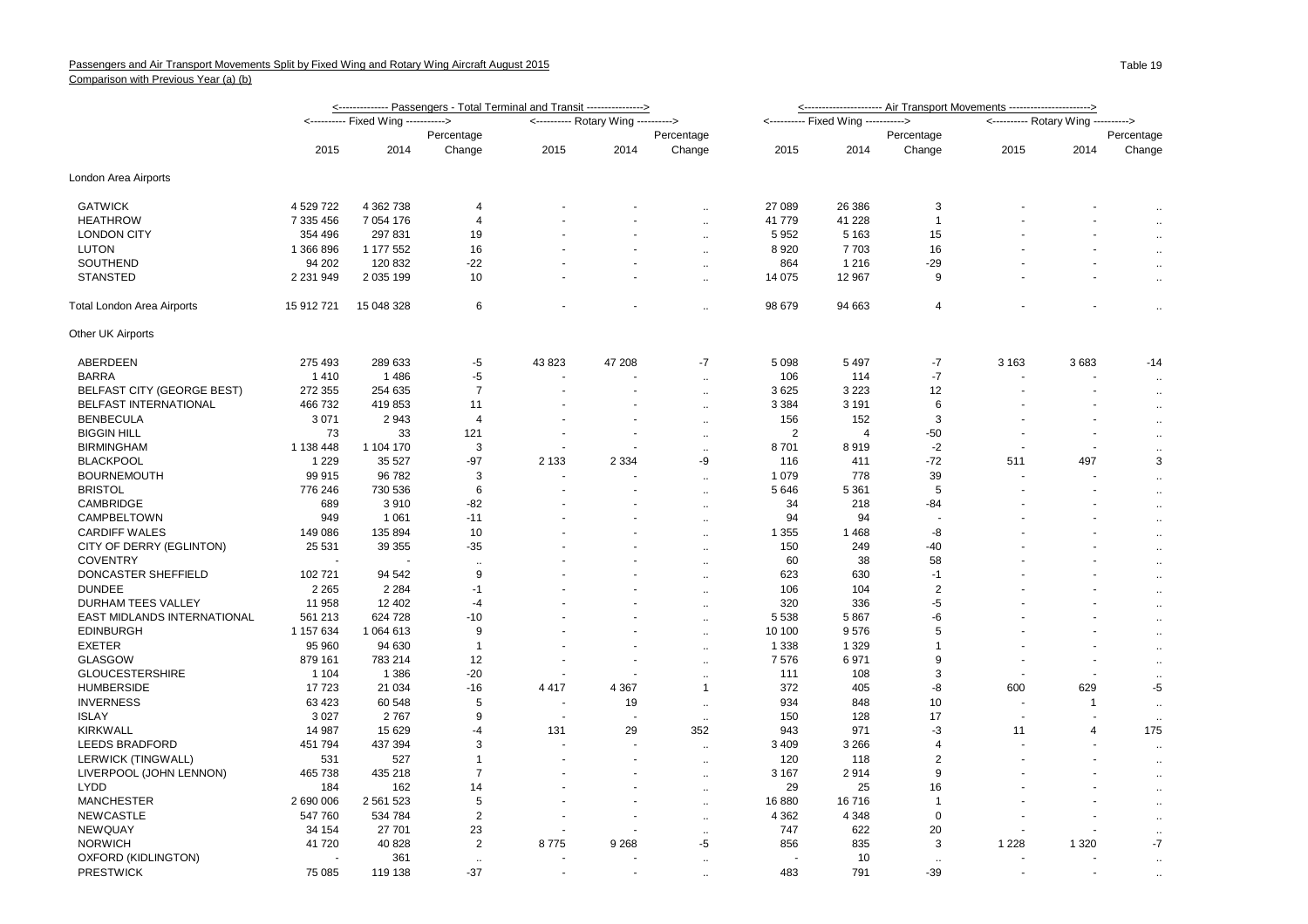|                                   | <-------------- Passengers - Total Terminal and Transit ----------------> |             |                |                                     |         |                      | <--------------------- Air Transport Movements ----------------------> |                                     |                      |                                     |                          |                             |
|-----------------------------------|---------------------------------------------------------------------------|-------------|----------------|-------------------------------------|---------|----------------------|------------------------------------------------------------------------|-------------------------------------|----------------------|-------------------------------------|--------------------------|-----------------------------|
|                                   | <---------- Fixed Wing ---------->                                        |             |                | <---------- Rotary Wing ----------> |         |                      |                                                                        | <---------- Fixed Wing -----------> |                      | <---------- Rotary Wing ----------> |                          |                             |
|                                   |                                                                           |             | Percentage     |                                     |         | Percentage           |                                                                        |                                     | Percentage           |                                     |                          | Percentage                  |
|                                   | 2015                                                                      | 2014        | Change         | 2015                                | 2014    | Change               | 2015                                                                   | 2014                                | Change               | 2015                                | 2014                     | Change                      |
| London Area Airports              |                                                                           |             |                |                                     |         |                      |                                                                        |                                     |                      |                                     |                          |                             |
| <b>GATWICK</b>                    | 4 529 722                                                                 | 4 362 738   | 4              |                                     |         | $\ddotsc$            | 27 089                                                                 | 26 38 6                             | 3                    |                                     |                          | $\ddotsc$                   |
| <b>HEATHROW</b>                   | 7 335 456                                                                 | 7 0 54 1 76 | 4              |                                     |         | $\ddot{\phantom{a}}$ | 41 779                                                                 | 41 228                              | $\mathbf{1}$         |                                     |                          | $\ddot{\phantom{1}}$        |
| <b>LONDON CITY</b>                | 354 496                                                                   | 297 831     | 19             |                                     |         | $\ddotsc$            | 5952                                                                   | 5 1 6 3                             | 15                   |                                     |                          | $\ddot{\phantom{a}}$        |
| <b>LUTON</b>                      | 1 366 896                                                                 | 1 177 552   | 16             |                                     |         | $\sim$               | 8920                                                                   | 7703                                | 16                   |                                     |                          | $\ddotsc$                   |
| SOUTHEND                          | 94 202                                                                    | 120 832     | $-22$          |                                     |         | $\ddot{\phantom{a}}$ | 864                                                                    | 1 2 1 6                             | $-29$                |                                     |                          |                             |
| <b>STANSTED</b>                   | 2 2 3 1 9 4 9                                                             | 2 035 199   | 10             |                                     |         | $\sim$               | 14 075                                                                 | 12 967                              | 9                    |                                     |                          | $\mathbf{r}$                |
| <b>Total London Area Airports</b> | 15 912 721                                                                | 15 048 328  | 6              |                                     |         | Ω.                   | 98 679                                                                 | 94 663                              | $\overline{4}$       |                                     |                          | $\ddot{\phantom{a}}$        |
| Other UK Airports                 |                                                                           |             |                |                                     |         |                      |                                                                        |                                     |                      |                                     |                          |                             |
| ABERDEEN                          | 275 493                                                                   | 289 633     | $-5$           | 43 823                              | 47 208  | $-7$                 | 5 0 9 8                                                                | 5 4 9 7                             | -7                   | 3 1 6 3                             | 3683                     | $-14$                       |
| <b>BARRA</b>                      | 1410                                                                      | 1486        | -5             |                                     |         | $\ddotsc$            | 106                                                                    | 114                                 | $-7$                 |                                     |                          | $\ddot{\phantom{a}}$        |
| <b>BELFAST CITY (GEORGE BEST)</b> | 272 355                                                                   | 254 635     | $\overline{7}$ |                                     |         | $\ddotsc$            | 3625                                                                   | 3 2 2 3                             | 12                   |                                     |                          | $\ddot{\phantom{a}}$        |
| BELFAST INTERNATIONAL             | 466 732                                                                   | 419853      | 11             |                                     |         | $\ddot{\phantom{a}}$ | 3 3 8 4                                                                | 3 1 9 1                             | 6                    |                                     |                          | $\ddot{\phantom{a}}$        |
| <b>BENBECULA</b>                  | 3 0 7 1                                                                   | 2943        | $\overline{4}$ |                                     |         | $\ddotsc$            | 156                                                                    | 152                                 | 3                    |                                     |                          | $\ddotsc$                   |
| <b>BIGGIN HILL</b>                | 73                                                                        | 33          | 121            |                                     |         | $\ddot{\phantom{a}}$ | $\overline{2}$                                                         | $\overline{4}$                      | -50                  |                                     |                          | $\mathcal{L}_{\mathcal{A}}$ |
| <b>BIRMINGHAM</b>                 | 1 138 448                                                                 | 1 104 170   | 3              |                                     |         | $\ddotsc$            | 8701                                                                   | 8919                                | $-2$                 |                                     | $\overline{\phantom{a}}$ | $\mathbf{r}$                |
| <b>BLACKPOOL</b>                  | 1 2 2 9                                                                   | 35 5 27     | $-97$          | 2 1 3 3                             | 2 3 3 4 | -9                   | 116                                                                    | 411                                 | $-72$                | 511                                 | 497                      | 3                           |
| <b>BOURNEMOUTH</b>                | 99 915                                                                    | 96 782      | 3              |                                     |         | $\ddot{\phantom{a}}$ | 1 0 7 9                                                                | 778                                 | 39                   |                                     |                          | $\ddotsc$                   |
| <b>BRISTOL</b>                    | 776 246                                                                   | 730 536     | 6              |                                     |         | $\ddot{\phantom{a}}$ | 5 6 4 6                                                                | 5 3 6 1                             | 5                    |                                     | $\overline{\phantom{a}}$ | $\mathbf{r}$                |
| CAMBRIDGE                         | 689                                                                       | 3910        | $-82$          |                                     |         | $\ddotsc$            | 34                                                                     | 218                                 | $-84$                |                                     |                          | $\mathbf{r}$                |
| CAMPBELTOWN                       | 949                                                                       | 1 0 6 1     | $-11$          |                                     |         | $\ldots$             | 94                                                                     | 94                                  |                      |                                     |                          | $\cdot$ .                   |
| <b>CARDIFF WALES</b>              | 149 086                                                                   | 135 894     | 10             |                                     |         | $\ddot{\phantom{a}}$ | 1 3 5 5                                                                | 1468                                | -8                   |                                     |                          | $\mathbf{r}$                |
| CITY OF DERRY (EGLINTON)          | 25 5 31                                                                   | 39 355      | -35            |                                     |         | $\ddot{\phantom{a}}$ | 150                                                                    | 249                                 | $-40$                |                                     |                          | $\mathbf{r}$                |
| <b>COVENTRY</b>                   |                                                                           |             | $\ddotsc$      |                                     |         | $\ldots$             | 60                                                                     | 38                                  | 58                   |                                     |                          | $\ddotsc$                   |
| DONCASTER SHEFFIELD               | 102 721                                                                   | 94 542      | 9              |                                     |         | $\ddot{\phantom{a}}$ | 623                                                                    | 630                                 | $-1$                 |                                     |                          | $\bar{\mathbf{a}}$          |
| <b>DUNDEE</b>                     | 2 2 6 5                                                                   | 2 2 8 4     | $-1$           |                                     |         | $\ddot{\phantom{a}}$ | 106                                                                    | 104                                 | $\overline{2}$       |                                     |                          | $\mathbf{r}$                |
| <b>DURHAM TEES VALLEY</b>         | 11 958                                                                    | 12 402      | $-4$           |                                     |         | $\ddotsc$            | 320                                                                    | 336                                 | $-5$                 |                                     |                          | $\ddotsc$                   |
| EAST MIDLANDS INTERNATIONAL       | 561 213                                                                   | 624 728     | -10            |                                     |         | $\ddotsc$            | 5 5 3 8                                                                | 5867                                | -6                   |                                     |                          | $\ddotsc$                   |
| <b>EDINBURGH</b>                  | 1 157 634                                                                 | 1 064 613   | 9              |                                     |         | $\ddot{\phantom{a}}$ | 10 100                                                                 | 9576                                | 5                    |                                     |                          | $\mathbf{r}$                |
| <b>EXETER</b>                     | 95 960                                                                    | 94 630      | $\overline{1}$ |                                     |         | $\ddot{\phantom{a}}$ | 1 3 3 8                                                                | 1 3 2 9                             | $\mathbf{1}$         |                                     |                          | $\mathbf{r}$                |
| <b>GLASGOW</b>                    | 879 161                                                                   | 783 214     | 12             |                                     |         | $\ddotsc$            | 7576                                                                   | 6971                                | 9                    |                                     |                          | $\ddotsc$                   |
| <b>GLOUCESTERSHIRE</b>            | 1 1 0 4                                                                   | 1 3 8 6     | $-20$          |                                     |         | $\ddot{\phantom{a}}$ | 111                                                                    | 108                                 | 3                    |                                     | ÷.                       | $\mathbf{r}$                |
| <b>HUMBERSIDE</b>                 | 17723                                                                     | 21 0 34     | $-16$          | 4 4 1 7                             | 4 3 6 7 | -1                   | 372                                                                    | 405                                 | -8                   | 600                                 | 629                      | $-5$                        |
| <b>INVERNESS</b>                  | 63 4 23                                                                   | 60 548      | 5              |                                     | 19      | $\ldots$             | 934                                                                    | 848                                 | 10                   |                                     | $\overline{1}$           | $\ddot{\phantom{a}}$        |
| <b>ISLAY</b>                      | 3 0 2 7                                                                   | 2767        | 9              |                                     |         | $\cdots$             | 150                                                                    | 128                                 | 17                   |                                     | ÷.                       | $\sim$                      |
| <b>KIRKWALL</b>                   | 14 987                                                                    | 15 6 29     | $-4$           | 131                                 | 29      | 352                  | 943                                                                    | 971                                 | $-3$                 | 11                                  | $\overline{4}$           | 175                         |
| <b>LEEDS BRADFORD</b>             | 451 794                                                                   | 437 394     | 3              |                                     |         | $\ddot{\phantom{a}}$ | 3 4 0 9                                                                | 3 2 6 6                             | $\overline{4}$       |                                     |                          | $\mathbf{r}$                |
| LERWICK (TINGWALL)                | 531                                                                       | 527         | $\overline{1}$ |                                     |         | $\ddotsc$            | 120                                                                    | 118                                 | $\overline{2}$       |                                     |                          | $\ddot{\phantom{a}}$        |
| LIVERPOOL (JOHN LENNON)           | 465 738                                                                   | 435 218     | $\overline{7}$ |                                     |         | $\ddot{\phantom{a}}$ | 3 1 6 7                                                                | 2914                                | 9                    |                                     |                          | $\ddotsc$                   |
| <b>LYDD</b>                       | 184                                                                       | 162         | 14             |                                     |         | $\ddotsc$            | 29                                                                     | 25                                  | 16                   |                                     |                          | $\mathbf{r}$                |
| <b>MANCHESTER</b>                 | 2 690 006                                                                 | 2 561 523   | 5              |                                     |         | $\sim$               | 16880                                                                  | 16716                               | $\mathbf{1}$         |                                     |                          | $\ddot{\phantom{a}}$        |
| <b>NEWCASTLE</b>                  | 547 760                                                                   | 534 784     | $\overline{2}$ |                                     |         | $\ddotsc$            | 4 3 6 2                                                                | 4 3 4 8                             | $\mathbf 0$          |                                     |                          | $\ddotsc$                   |
| <b>NEWQUAY</b>                    | 34 154                                                                    | 27 701      | 23             |                                     |         | $\ddotsc$            | 747                                                                    | 622                                 | 20                   |                                     |                          | $\mathbf{r}$                |
| <b>NORWICH</b>                    | 41720                                                                     | 40 828      | $\overline{2}$ | 8775                                | 9 2 6 8 | -5                   | 856                                                                    | 835                                 | 3                    | 1 2 2 8                             | 1 3 2 0                  | $-7$                        |
| OXFORD (KIDLINGTON)               |                                                                           | 361         |                |                                     |         | $\ddot{\phantom{a}}$ |                                                                        | 10                                  | $\ddot{\phantom{a}}$ |                                     |                          | $\ddot{\phantom{a}}$        |
| <b>PRESTWICK</b>                  | 75 085                                                                    | 119 138     | $-37$          |                                     |         | $\ddot{\phantom{a}}$ | 483                                                                    | 791                                 | $-39$                |                                     | $\overline{a}$           | $\ddot{\phantom{a}}$        |